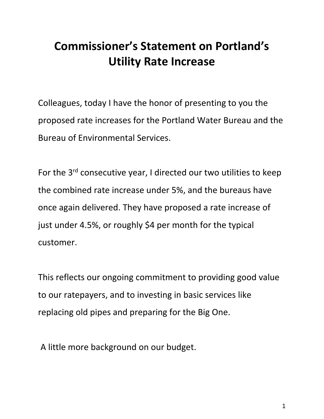## **Commissioner's Statement on Portland's Utility Rate Increase**

Colleagues, today I have the honor of presenting to you the proposed rate increases for the Portland Water Bureau and the Bureau of Environmental Services.

For the 3<sup>rd</sup> consecutive year, I directed our two utilities to keep the combined rate increase under 5%, and the bureaus have once again delivered. They have proposed a rate increase of just under 4.5%, or roughly \$4 per month for the typical customer.

This reflects our ongoing commitment to providing good value to our ratepayers, and to investing in basic services like replacing old pipes and preparing for the Big One.

A little more background on our budget.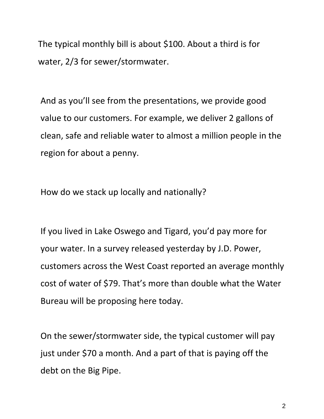The typical monthly bill is about \$100. About a third is for water, 2/3 for sewer/stormwater.

And as you'll see from the presentations, we provide good value to our customers. For example, we deliver 2 gallons of clean, safe and reliable water to almost a million people in the region for about a penny.

How do we stack up locally and nationally?

If you lived in Lake Oswego and Tigard, you'd pay more for your water. In a survey released yesterday by J.D. Power, customers across the West Coast reported an average monthly cost of water of \$79. That's more than double what the Water Bureau will be proposing here today.

On the sewer/stormwater side, the typical customer will pay just under \$70 a month. And a part of that is paying off the debt on the Big Pipe.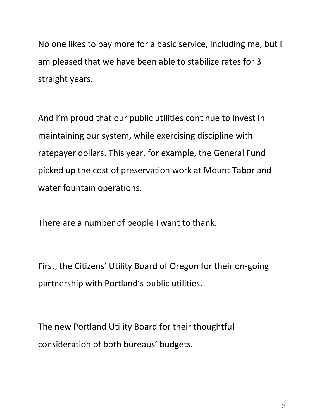No one likes to pay more for a basic service, including me, but I am pleased that we have been able to stabilize rates for 3 straight years.

And I'm proud that our public utilities continue to invest in maintaining our system, while exercising discipline with ratepayer dollars. This year, for example, the General Fund picked up the cost of preservation work at Mount Tabor and water fountain operations.

There are a number of people I want to thank.

First, the Citizens' Utility Board of Oregon for their on-going partnership with Portland's public utilities.

The new Portland Utility Board for their thoughtful consideration of both bureaus' budgets.